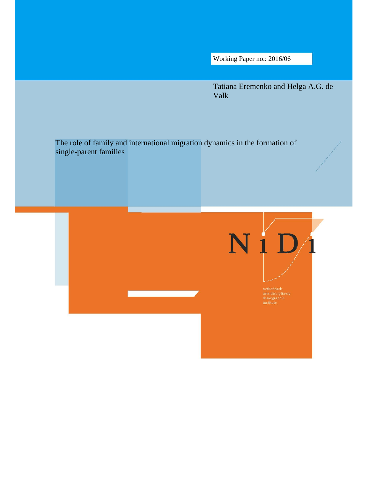Working Paper no.: 2016/06

Tatiana Eremenko and Helga A.G. de Valk

The role of family and international migration dynamics in the formation of single-parent families

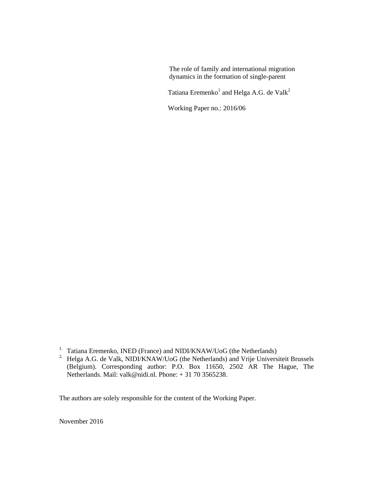The role of family and international migration dynamics in the formation of single-parent

Tatiana Eremenko $^1$  and Helga A.G. de Valk $^2$ 

Working Paper no.: 2016/06

- <sup>1</sup>. Tatiana Eremenko, INED (France) and NIDI/KNAW/UoG (the Netherlands)
- <sup>2.</sup> Helga A.G. de Valk, NIDI/KNAW/UoG (the Netherlands) and Vrije Universiteit Brussels (Belgium). Corresponding author: P.O. Box 11650, 2502 AR The Hague, The Netherlands. Mail: valk@nidi.nl. Phone: + 31 70 3565238.

The authors are solely responsible for the content of the Working Paper.

November 2016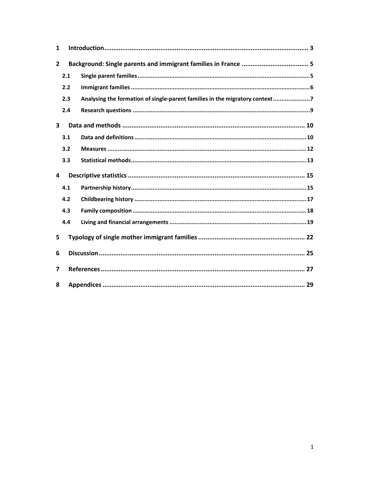| 1              |     |                                                                             |
|----------------|-----|-----------------------------------------------------------------------------|
| $\overline{2}$ |     |                                                                             |
|                | 2.1 |                                                                             |
|                | 2.2 |                                                                             |
|                | 2.3 | Analysing the formation of single-parent families in the migratory context7 |
|                | 2.4 |                                                                             |
| 3              |     |                                                                             |
|                | 3.1 |                                                                             |
|                | 3.2 |                                                                             |
|                | 3.3 |                                                                             |
| 4              |     |                                                                             |
|                | 4.1 |                                                                             |
|                | 4.2 |                                                                             |
|                | 4.3 |                                                                             |
|                | 4.4 |                                                                             |
| 5              |     |                                                                             |
| 6              |     |                                                                             |
| 7              |     |                                                                             |
| 8              |     |                                                                             |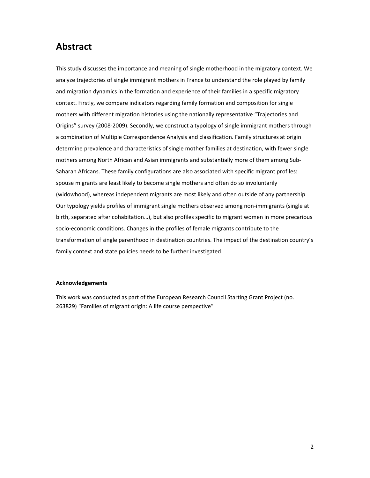### **Abstract**

This study discusses the importance and meaning of single motherhood in the migratory context. We analyze trajectories of single immigrant mothers in France to understand the role played by family and migration dynamics in the formation and experience of their families in a specific migratory context. Firstly, we compare indicators regarding family formation and composition for single mothers with different migration histories using the nationally representative "Trajectories and Origins" survey (2008‐2009). Secondly, we construct a typology of single immigrant mothers through a combination of Multiple Correspondence Analysis and classification. Family structures at origin determine prevalence and characteristics of single mother families at destination, with fewer single mothers among North African and Asian immigrants and substantially more of them among Sub‐ Saharan Africans. These family configurations are also associated with specific migrant profiles: spouse migrants are least likely to become single mothers and often do so involuntarily (widowhood), whereas independent migrants are most likely and often outside of any partnership. Our typology yields profiles of immigrant single mothers observed among non‐immigrants (single at birth, separated after cohabitation…), but also profiles specific to migrant women in more precarious socio-economic conditions. Changes in the profiles of female migrants contribute to the transformation of single parenthood in destination countries. The impact of the destination country's family context and state policies needs to be further investigated.

#### **Acknowledgements**

This work was conducted as part of the European Research Council Starting Grant Project (no. 263829) "Families of migrant origin: A life course perspective"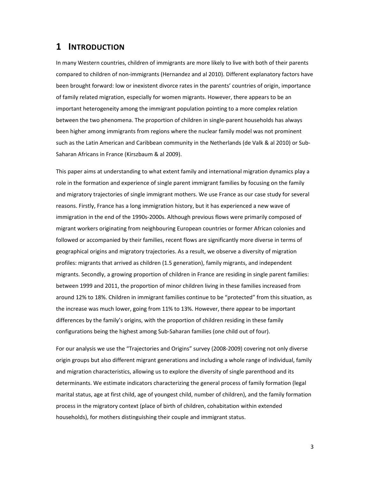### **1 INTRODUCTION**

In many Western countries, children of immigrants are more likely to live with both of their parents compared to children of non‐immigrants (Hernandez and al 2010). Different explanatory factors have been brought forward: low or inexistent divorce rates in the parents' countries of origin, importance of family related migration, especially for women migrants. However, there appears to be an important heterogeneity among the immigrant population pointing to a more complex relation between the two phenomena. The proportion of children in single-parent households has always been higher among immigrants from regions where the nuclear family model was not prominent such as the Latin American and Caribbean community in the Netherlands (de Valk & al 2010) or Sub‐ Saharan Africans in France (Kirszbaum & al 2009).

This paper aims at understanding to what extent family and international migration dynamics play a role in the formation and experience of single parent immigrant families by focusing on the family and migratory trajectories of single immigrant mothers. We use France as our case study for several reasons. Firstly, France has a long immigration history, but it has experienced a new wave of immigration in the end of the 1990s-2000s. Although previous flows were primarily composed of migrant workers originating from neighbouring European countries or former African colonies and followed or accompanied by their families, recent flows are significantly more diverse in terms of geographical origins and migratory trajectories. As a result, we observe a diversity of migration profiles: migrants that arrived as children (1.5 generation), family migrants, and independent migrants. Secondly, a growing proportion of children in France are residing in single parent families: between 1999 and 2011, the proportion of minor children living in these families increased from around 12% to 18%. Children in immigrant families continue to be "protected" from this situation, as the increase was much lower, going from 11% to 13%. However, there appear to be important differences by the family's origins, with the proportion of children residing in these family configurations being the highest among Sub‐Saharan families (one child out of four).

For our analysis we use the "Trajectories and Origins" survey (2008‐2009) covering not only diverse origin groups but also different migrant generations and including a whole range of individual, family and migration characteristics, allowing us to explore the diversity of single parenthood and its determinants. We estimate indicators characterizing the general process of family formation (legal marital status, age at first child, age of youngest child, number of children), and the family formation process in the migratory context (place of birth of children, cohabitation within extended households), for mothers distinguishing their couple and immigrant status.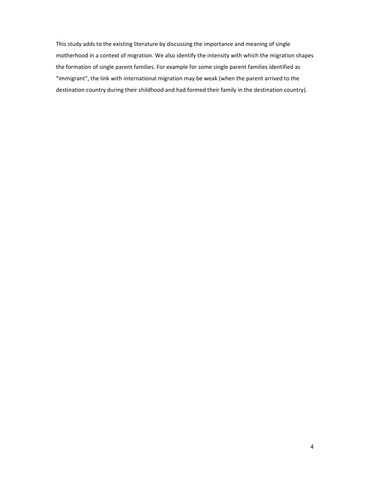This study adds to the existing literature by discussing the importance and meaning of single motherhood in a context of migration. We also identify the intensity with which the migration shapes the formation of single parent families. For example for some single parent families identified as "immigrant", the link with international migration may be weak (when the parent arrived to the destination country during their childhood and had formed their family in the destination country).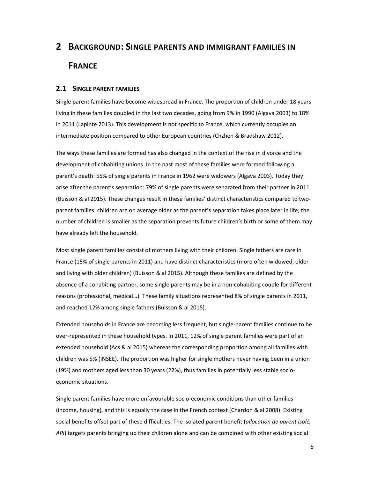# **2 BACKGROUND: SINGLE PARENTS AND IMMIGRANT FAMILIES IN FRANCE**

#### **2.1 SINGLE PARENT FAMILIES**

Single parent families have become widespread in France. The proportion of children under 18 years living in these families doubled in the last two decades, going from 9% in 1990 (Algava 2003) to 18% in 2011 (Lapinte 2013). This development is not specific to France, which currently occupies an intermediate position compared to other European countries (Chzhen & Bradshaw 2012).

The ways these families are formed has also changed in the context of the rise in divorce and the development of cohabiting unions. In the past most of these families were formed following a parent's death: 55% of single parents in France in 1962 were widowers (Algava 2003). Today they arise after the parent's separation: 79% of single parents were separated from their partner in 2011 (Buisson & al 2015). These changes result in these families' distinct characteristics compared to two‐ parent families: children are on average older as the parent's separation takes place later in life; the number of children is smaller as the separation prevents future children's birth or some of them may have already left the household.

Most single parent families consist of mothers living with their children. Single fathers are rare in France (15% of single parents in 2011) and have distinct characteristics (more often widowed, older and living with older children) (Buisson & al 2015). Although these families are defined by the absence of a cohabiting partner, some single parents may be in a non-cohabiting couple for different reasons (professional, medical…). These family situations represented 8% of single parents in 2011, and reached 12% among single fathers (Buisson & al 2015).

Extended households in France are becoming less frequent, but single‐parent families continue to be over-represented in these household types. In 2011, 12% of single parent families were part of an extended household (Acs & al 2015) whereas the corresponding proportion among all families with children was 5% (INSEE). The proportion was higher for single mothers never having been in a union (19%) and mothers aged less than 30 years (22%), thus families in potentially less stable socio‐ economic situations.

Single parent families have more unfavourable socio‐economic conditions than other families (income, housing), and this is equally the case in the French context (Chardon & al 2008). Existing social benefits offset part of these difficulties. The isolated parent benefit (*allocation de parent isolé, API*) targets parents bringing up their children alone and can be combined with other existing social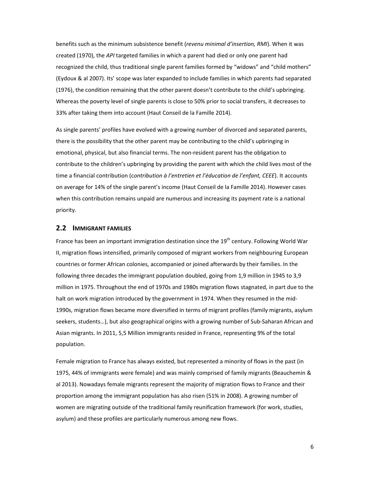benefits such as the minimum subsistence benefit (*revenu minimal d'insertion, RMI*). When it was created (1970), the *API* targeted families in which a parent had died or only one parent had recognized the child, thus traditional single parent families formed by "widows" and "child mothers" (Eydoux & al 2007). Its' scope was later expanded to include families in which parents had separated (1976), the condition remaining that the other parent doesn't contribute to the child's upbringing. Whereas the poverty level of single parents is close to 50% prior to social transfers, it decreases to 33% after taking them into account (Haut Conseil de la Famille 2014).

As single parents' profiles have evolved with a growing number of divorced and separated parents, there is the possibility that the other parent may be contributing to the child's upbringing in emotional, physical, but also financial terms. The non-resident parent has the obligation to contribute to the children's upbringing by providing the parent with which the child lives most of the time a financial contribution (c*ontribution à l'entretien et l'éducation de l'enfant, CEEE*). It accounts on average for 14% of the single parent's income (Haut Conseil de la Famille 2014). However cases when this contribution remains unpaid are numerous and increasing its payment rate is a national priority.

#### **2.2 IMMIGRANT FAMILIES**

France has been an important immigration destination since the  $19<sup>th</sup>$  century. Following World War II, migration flows intensified, primarily composed of migrant workers from neighbouring European countries or former African colonies, accompanied or joined afterwards by their families. In the following three decades the immigrant population doubled, going from 1,9 million in 1945 to 3,9 million in 1975. Throughout the end of 1970s and 1980s migration flows stagnated, in part due to the halt on work migration introduced by the government in 1974. When they resumed in the mid-1990s, migration flows became more diversified in terms of migrant profiles (family migrants, asylum seekers, students…), but also geographical origins with a growing number of Sub‐Saharan African and Asian migrants. In 2011, 5,5 Million immigrants resided in France, representing 9% of the total population.

Female migration to France has always existed, but represented a minority of flows in the past (in 1975, 44% of immigrants were female) and was mainly comprised of family migrants (Beauchemin & al 2013). Nowadays female migrants represent the majority of migration flows to France and their proportion among the immigrant population has also risen (51% in 2008). A growing number of women are migrating outside of the traditional family reunification framework (for work, studies, asylum) and these profiles are particularly numerous among new flows.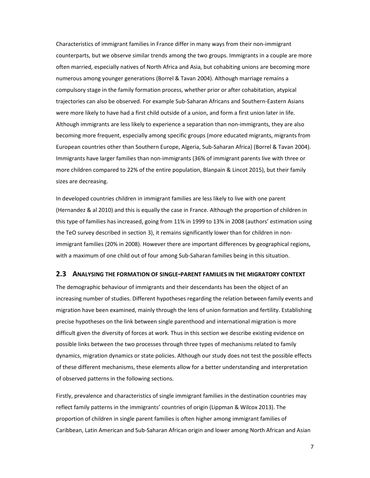Characteristics of immigrant families in France differ in many ways from their non‐immigrant counterparts, but we observe similar trends among the two groups. Immigrants in a couple are more often married, especially natives of North Africa and Asia, but cohabiting unions are becoming more numerous among younger generations (Borrel & Tavan 2004). Although marriage remains a compulsory stage in the family formation process, whether prior or after cohabitation, atypical trajectories can also be observed. For example Sub‐Saharan Africans and Southern‐Eastern Asians were more likely to have had a first child outside of a union, and form a first union later in life. Although immigrants are less likely to experience a separation than non‐immigrants, they are also becoming more frequent, especially among specific groups (more educated migrants, migrants from European countries other than Southern Europe, Algeria, Sub‐Saharan Africa) (Borrel & Tavan 2004). Immigrants have larger families than non‐immigrants (36% of immigrant parents live with three or more children compared to 22% of the entire population, Blanpain & Lincot 2015), but their family sizes are decreasing.

In developed countries children in immigrant families are less likely to live with one parent (Hernandez & al 2010) and this is equally the case in France. Although the proportion of children in this type of families has increased, going from 11% in 1999 to 13% in 2008 (authors' estimation using the TeO survey described in section 3), it remains significantly lower than for children in non‐ immigrant families (20% in 2008). However there are important differences by geographical regions, with a maximum of one child out of four among Sub-Saharan families being in this situation.

#### **2.3 ANALYSING THE FORMATION OF SINGLE‐PARENT FAMILIES IN THE MIGRATORY CONTEXT**

The demographic behaviour of immigrants and their descendants has been the object of an increasing number of studies. Different hypotheses regarding the relation between family events and migration have been examined, mainly through the lens of union formation and fertility. Establishing precise hypotheses on the link between single parenthood and international migration is more difficult given the diversity of forces at work. Thus in this section we describe existing evidence on possible links between the two processes through three types of mechanisms related to family dynamics, migration dynamics or state policies. Although our study does not test the possible effects of these different mechanisms, these elements allow for a better understanding and interpretation of observed patterns in the following sections.

Firstly, prevalence and characteristics of single immigrant families in the destination countries may reflect family patterns in the immigrants' countries of origin (Lippman & Wilcox 2013). The proportion of children in single parent families is often higher among immigrant families of Caribbean, Latin American and Sub‐Saharan African origin and lower among North African and Asian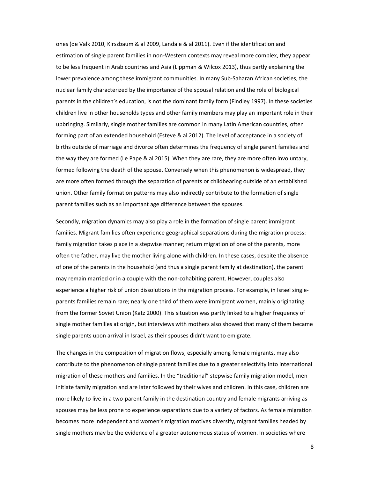ones (de Valk 2010, Kirszbaum & al 2009, Landale & al 2011). Even if the identification and estimation of single parent families in non‐Western contexts may reveal more complex, they appear to be less frequent in Arab countries and Asia (Lippman & Wilcox 2013), thus partly explaining the lower prevalence among these immigrant communities. In many Sub‐Saharan African societies, the nuclear family characterized by the importance of the spousal relation and the role of biological parents in the children's education, is not the dominant family form (Findley 1997). In these societies children live in other households types and other family members may play an important role in their upbringing. Similarly, single mother families are common in many Latin American countries, often forming part of an extended household (Esteve & al 2012). The level of acceptance in a society of births outside of marriage and divorce often determines the frequency of single parent families and the way they are formed (Le Pape & al 2015). When they are rare, they are more often involuntary, formed following the death of the spouse. Conversely when this phenomenon is widespread, they are more often formed through the separation of parents or childbearing outside of an established union. Other family formation patterns may also indirectly contribute to the formation of single parent families such as an important age difference between the spouses.

Secondly, migration dynamics may also play a role in the formation of single parent immigrant families. Migrant families often experience geographical separations during the migration process: family migration takes place in a stepwise manner; return migration of one of the parents, more often the father, may live the mother living alone with children. In these cases, despite the absence of one of the parents in the household (and thus a single parent family at destination), the parent may remain married or in a couple with the non‐cohabiting parent. However, couples also experience a higher risk of union dissolutions in the migration process. For example, in Israel single‐ parents families remain rare; nearly one third of them were immigrant women, mainly originating from the former Soviet Union (Katz 2000). This situation was partly linked to a higher frequency of single mother families at origin, but interviews with mothers also showed that many of them became single parents upon arrival in Israel, as their spouses didn't want to emigrate.

The changes in the composition of migration flows, especially among female migrants, may also contribute to the phenomenon of single parent families due to a greater selectivity into international migration of these mothers and families. In the "traditional" stepwise family migration model, men initiate family migration and are later followed by their wives and children. In this case, children are more likely to live in a two‐parent family in the destination country and female migrants arriving as spouses may be less prone to experience separations due to a variety of factors. As female migration becomes more independent and women's migration motives diversify, migrant families headed by single mothers may be the evidence of a greater autonomous status of women. In societies where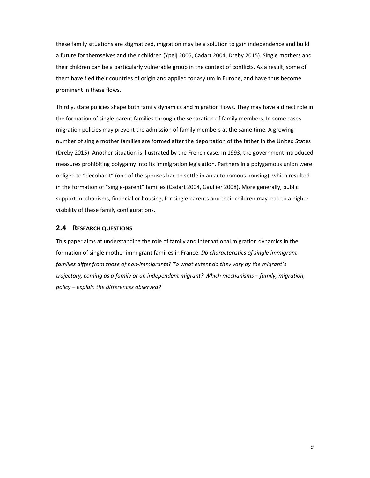these family situations are stigmatized, migration may be a solution to gain independence and build a future for themselves and their children (Ypeij 2005, Cadart 2004, Dreby 2015). Single mothers and their children can be a particularly vulnerable group in the context of conflicts. As a result, some of them have fled their countries of origin and applied for asylum in Europe, and have thus become prominent in these flows.

Thirdly, state policies shape both family dynamics and migration flows. They may have a direct role in the formation of single parent families through the separation of family members. In some cases migration policies may prevent the admission of family members at the same time. A growing number of single mother families are formed after the deportation of the father in the United States (Dreby 2015). Another situation is illustrated by the French case. In 1993, the government introduced measures prohibiting polygamy into its immigration legislation. Partners in a polygamous union were obliged to "decohabit" (one of the spouses had to settle in an autonomous housing), which resulted in the formation of "single‐parent" families (Cadart 2004, Gaullier 2008). More generally, public support mechanisms, financial or housing, for single parents and their children may lead to a higher visibility of these family configurations.

#### **2.4 RESEARCH QUESTIONS**

This paper aims at understanding the role of family and international migration dynamics in the formation of single mother immigrant families in France. *Do characteristics of single immigrant families differ from those of non‐immigrants? To what extent do they vary by the migrant's trajectory, coming as a family or an independent migrant? Which mechanisms – family, migration, policy – explain the differences observed?*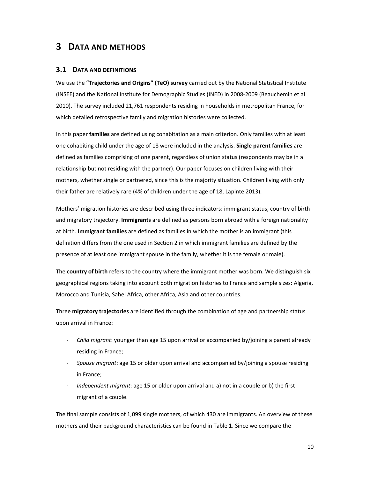### **3 DATA AND METHODS**

#### **3.1 DATA AND DEFINITIONS**

We use the **"Trajectories and Origins" (TeO) survey** carried out by the National Statistical Institute (INSEE) and the National Institute for Demographic Studies (INED) in 2008‐2009 (Beauchemin et al 2010). The survey included 21,761 respondents residing in households in metropolitan France, for which detailed retrospective family and migration histories were collected.

In this paper **families** are defined using cohabitation as a main criterion. Only families with at least one cohabiting child under the age of 18 were included in the analysis. **Single parent families** are defined as families comprising of one parent, regardless of union status (respondents may be in a relationship but not residing with the partner). Our paper focuses on children living with their mothers, whether single or partnered, since this is the majority situation. Children living with only their father are relatively rare (4% of children under the age of 18, Lapinte 2013).

Mothers' migration histories are described using three indicators: immigrant status, country of birth and migratory trajectory. **Immigrants** are defined as persons born abroad with a foreign nationality at birth. **Immigrant families** are defined as families in which the mother is an immigrant (this definition differs from the one used in Section 2 in which immigrant families are defined by the presence of at least one immigrant spouse in the family, whether it is the female or male).

The **country of birth** refers to the country where the immigrant mother was born. We distinguish six geographical regions taking into account both migration histories to France and sample sizes: Algeria, Morocco and Tunisia, Sahel Africa, other Africa, Asia and other countries.

Three **migratory trajectories** are identified through the combination of age and partnership status upon arrival in France:

- ‐ *Child migrant*: younger than age 15 upon arrival or accompanied by/joining a parent already residing in France;
- ‐ *Spouse migrant*: age 15 or older upon arrival and accompanied by/joining a spouse residing in France;
- ‐ *Independent migrant*: age 15 or older upon arrival and a) not in a couple or b) the first migrant of a couple.

The final sample consists of 1,099 single mothers, of which 430 are immigrants. An overview of these mothers and their background characteristics can be found in Table 1. Since we compare the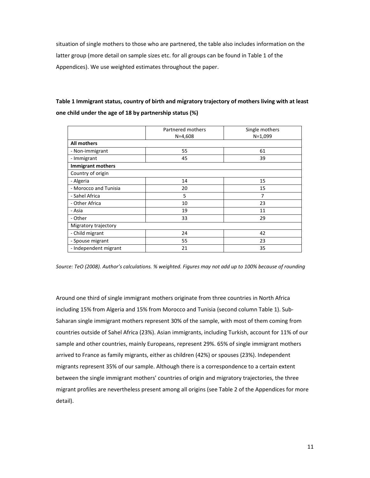situation of single mothers to those who are partnered, the table also includes information on the latter group (more detail on sample sizes etc. for all groups can be found in Table 1 of the Appendices). We use weighted estimates throughout the paper.

### **Table 1 Immigrant status, country of birth and migratory trajectory of mothers living with at least one child under the age of 18 by partnership status (%)**

|                          | Partnered mothers<br>$N=4,608$ | Single mothers<br>$N=1,099$ |
|--------------------------|--------------------------------|-----------------------------|
| <b>All mothers</b>       |                                |                             |
| - Non-immigrant          | 55                             | 61                          |
| - Immigrant              | 45                             | 39                          |
| <b>Immigrant mothers</b> |                                |                             |
| Country of origin        |                                |                             |
| - Algeria                | 14                             | 15                          |
| - Morocco and Tunisia    | 20                             | 15                          |
| - Sahel Africa           | 5                              | 7                           |
| - Other Africa           | 10                             | 23                          |
| - Asia                   | 19                             | 11                          |
| - Other                  | 33                             | 29                          |
| Migratory trajectory     |                                |                             |
| - Child migrant          | 24                             | 42                          |
| - Spouse migrant         | 55                             | 23                          |
| - Independent migrant    | 21                             | 35                          |

*Source: TeO (2008). Author's calculations. % weighted. Figures may not add up to 100% because of rounding*

Around one third of single immigrant mothers originate from three countries in North Africa including 15% from Algeria and 15% from Morocco and Tunisia (second column Table 1). Sub‐ Saharan single immigrant mothers represent 30% of the sample, with most of them coming from countries outside of Sahel Africa (23%). Asian immigrants, including Turkish, account for 11% of our sample and other countries, mainly Europeans, represent 29%. 65% of single immigrant mothers arrived to France as family migrants, either as children (42%) or spouses (23%). Independent migrants represent 35% of our sample. Although there is a correspondence to a certain extent between the single immigrant mothers' countries of origin and migratory trajectories, the three migrant profiles are nevertheless present among all origins (see Table 2 of the Appendices for more detail).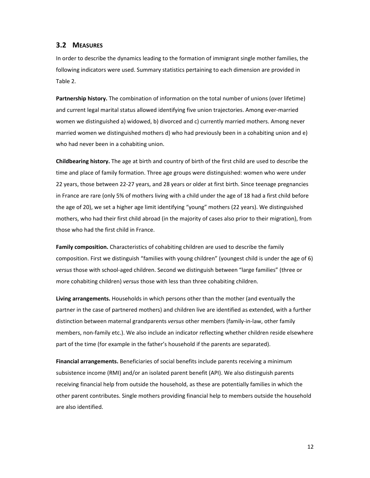#### **3.2 MEASURES**

In order to describe the dynamics leading to the formation of immigrant single mother families, the following indicators were used. Summary statistics pertaining to each dimension are provided in Table 2.

**Partnership history.** The combination of information on the total number of unions (over lifetime) and current legal marital status allowed identifying five union trajectories. Among ever‐married women we distinguished a) widowed, b) divorced and c) currently married mothers. Among never married women we distinguished mothers d) who had previously been in a cohabiting union and e) who had never been in a cohabiting union.

**Childbearing history.** The age at birth and country of birth of the first child are used to describe the time and place of family formation. Three age groups were distinguished: women who were under 22 years, those between 22‐27 years, and 28 years or older at first birth. Since teenage pregnancies in France are rare (only 5% of mothers living with a child under the age of 18 had a first child before the age of 20), we set a higher age limit identifying "young" mothers (22 years). We distinguished mothers, who had their first child abroad (in the majority of cases also prior to their migration), from those who had the first child in France.

**Family composition.** Characteristics of cohabiting children are used to describe the family composition. First we distinguish "families with young children" (youngest child is under the age of 6) *versus* those with school‐aged children. Second we distinguish between "large families" (three or more cohabiting children) *versus* those with less than three cohabiting children.

**Living arrangements.** Households in which persons other than the mother (and eventually the partner in the case of partnered mothers) and children live are identified as extended, with a further distinction between maternal grandparents *versus* other members (family‐in‐law, other family members, non-family etc.). We also include an indicator reflecting whether children reside elsewhere part of the time (for example in the father's household if the parents are separated).

**Financial arrangements.** Beneficiaries of social benefits include parents receiving a minimum subsistence income (RMI) and/or an isolated parent benefit (API). We also distinguish parents receiving financial help from outside the household, as these are potentially families in which the other parent contributes. Single mothers providing financial help to members outside the household are also identified.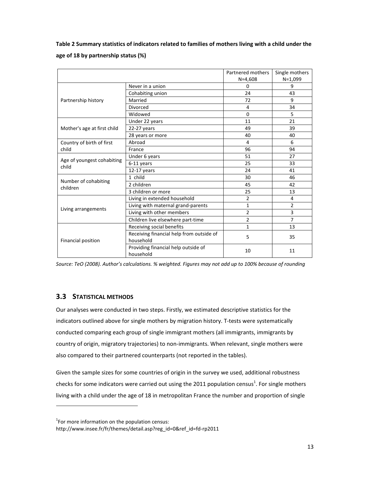**Table 2 Summary statistics of indicators related to families of mothers living with a child under the age of 18 by partnership status (%)**

|                                     |                                                       | Partnered mothers | Single mothers |
|-------------------------------------|-------------------------------------------------------|-------------------|----------------|
|                                     |                                                       | $N = 4,608$       | $N=1,099$      |
|                                     | Never in a union                                      | <sup>0</sup>      | 9              |
|                                     | Cohabiting union                                      | 24                | 43             |
| Partnership history                 | Married                                               | 72                | 9              |
|                                     | Divorced                                              | 4                 | 34             |
|                                     | Widowed                                               | $\Omega$          | 5              |
|                                     | Under 22 years                                        | 11                | 21             |
| Mother's age at first child         | $22-27$ years                                         | 49                | 39             |
|                                     | 28 years or more                                      | 40                | 40             |
| Country of birth of first           | Abroad                                                | 4                 | 6              |
| child                               | France                                                | 96                | 94             |
|                                     | Under 6 years                                         | 51                | 27             |
| Age of youngest cohabiting<br>child | 6-11 years                                            | 25                | 33             |
|                                     | $12-17$ years                                         | 24                | 41             |
|                                     | 1 child                                               | 30                | 46             |
| Number of cohabiting<br>children    | 2 children                                            | 45                | 42             |
|                                     | 3 children or more                                    | 25                | 13             |
|                                     | Living in extended household                          | $\overline{2}$    | 4              |
|                                     | Living with maternal grand-parents                    | 1                 | $\overline{2}$ |
| Living arrangements                 | Living with other members                             | 2                 | 3              |
|                                     | Children live elsewhere part-time                     | 2                 | $\overline{7}$ |
|                                     | Receiving social benefits                             | 1                 | 13             |
| Financial position                  | Receiving financial help from outside of<br>household | 5                 | 35             |
|                                     | Providing financial help outside of<br>household      | 10                | 11             |

*Source: TeO (2008). Author's calculations. % weighted. Figures may not add up to 100% because of rounding*

### **3.3 STATISTICAL METHODS**

Our analyses were conducted in two steps. Firstly, we estimated descriptive statistics for the indicators outlined above for single mothers by migration history. T-tests were systematically conducted comparing each group of single immigrant mothers (all immigrants, immigrants by country of origin, migratory trajectories) to non-immigrants. When relevant, single mothers were also compared to their partnered counterparts (not reported in the tables).

Given the sample sizes for some countries of origin in the survey we used, additional robustness checks for some indicators were carried out using the 2011 population census<sup>1</sup>. For single mothers living with a child under the age of 18 in metropolitan France the number and proportion of single

 $1$ For more information on the population census:

http://www.insee.fr/fr/themes/detail.asp?reg\_id=0&ref\_id=fd‐rp2011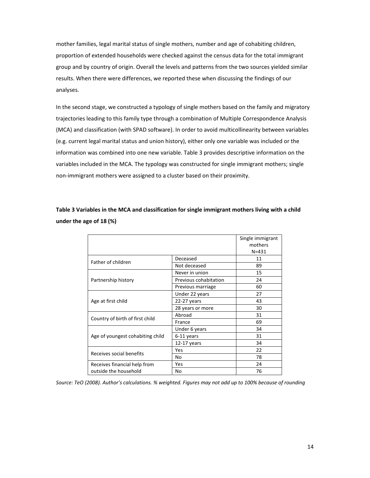mother families, legal marital status of single mothers, number and age of cohabiting children, proportion of extended households were checked against the census data for the total immigrant group and by country of origin. Overall the levels and patterns from the two sources yielded similar results. When there were differences, we reported these when discussing the findings of our analyses.

In the second stage, we constructed a typology of single mothers based on the family and migratory trajectories leading to this family type through a combination of Multiple Correspondence Analysis (MCA) and classification (with SPAD software). In order to avoid multicollinearity between variables (e.g. current legal marital status and union history), either only one variable was included or the information was combined into one new variable. Table 3 provides descriptive information on the variables included in the MCA. The typology was constructed for single immigrant mothers; single non‐immigrant mothers were assigned to a cluster based on their proximity.

**Table 3 Variables in the MCA and classification for single immigrant mothers living with a child under the age of 18 (%)**

|                                  |                                                                                                                                                                                                                                                                                                                               | Single immigrant |
|----------------------------------|-------------------------------------------------------------------------------------------------------------------------------------------------------------------------------------------------------------------------------------------------------------------------------------------------------------------------------|------------------|
|                                  | mothers                                                                                                                                                                                                                                                                                                                       |                  |
|                                  |                                                                                                                                                                                                                                                                                                                               | $N = 431$        |
| Father of children               | Deceased                                                                                                                                                                                                                                                                                                                      | 11               |
|                                  | Not deceased<br>89<br>Never in union<br>15<br>24<br>Previous cohabitation<br>60<br>Previous marriage<br>Under 22 years<br>27<br>43<br>22-27 years<br>30<br>28 years or more<br>Abroad<br>31<br>69<br>France<br>Under 6 years<br>34<br>31<br>6-11 years<br>34<br>12-17 years<br>22<br>Yes<br>78<br>No<br>24<br>Yes<br>76<br>No |                  |
|                                  |                                                                                                                                                                                                                                                                                                                               |                  |
| Partnership history              |                                                                                                                                                                                                                                                                                                                               |                  |
|                                  |                                                                                                                                                                                                                                                                                                                               |                  |
|                                  |                                                                                                                                                                                                                                                                                                                               |                  |
| Age at first child               |                                                                                                                                                                                                                                                                                                                               |                  |
|                                  |                                                                                                                                                                                                                                                                                                                               |                  |
|                                  |                                                                                                                                                                                                                                                                                                                               |                  |
| Country of birth of first child  |                                                                                                                                                                                                                                                                                                                               |                  |
|                                  |                                                                                                                                                                                                                                                                                                                               |                  |
| Age of youngest cohabiting child |                                                                                                                                                                                                                                                                                                                               |                  |
|                                  |                                                                                                                                                                                                                                                                                                                               |                  |
| Receives social benefits         |                                                                                                                                                                                                                                                                                                                               |                  |
|                                  |                                                                                                                                                                                                                                                                                                                               |                  |
| Receives financial help from     |                                                                                                                                                                                                                                                                                                                               |                  |
| outside the household            |                                                                                                                                                                                                                                                                                                                               |                  |

*Source: TeO (2008). Author's calculations. % weighted. Figures may not add up to 100% because of rounding*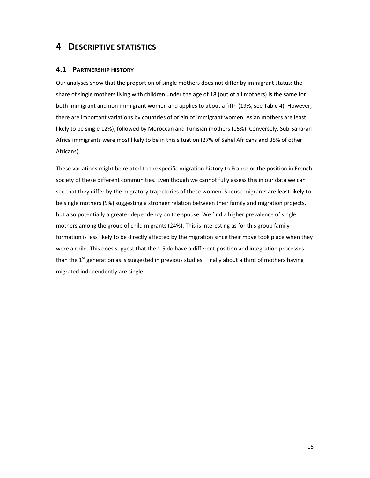### **4 DESCRIPTIVE STATISTICS**

#### **4.1 PARTNERSHIP HISTORY**

Our analyses show that the proportion of single mothers does not differ by immigrant status: the share of single mothers living with children under the age of 18 (out of all mothers) is the same for both immigrant and non-immigrant women and applies to about a fifth (19%, see Table 4). However, there are important variations by countries of origin of immigrant women. Asian mothers are least likely to be single 12%), followed by Moroccan and Tunisian mothers (15%). Conversely, Sub‐Saharan Africa immigrants were most likely to be in this situation (27% of Sahel Africans and 35% of other Africans).

These variations might be related to the specific migration history to France or the position in French society of these different communities. Even though we cannot fully assess this in our data we can see that they differ by the migratory trajectories of these women. Spouse migrants are least likely to be single mothers (9%) suggesting a stronger relation between their family and migration projects, but also potentially a greater dependency on the spouse. We find a higher prevalence of single mothers among the group of child migrants (24%). This is interesting as for this group family formation is less likely to be directly affected by the migration since their move took place when they were a child. This does suggest that the 1.5 do have a different position and integration processes than the  $1<sup>st</sup>$  generation as is suggested in previous studies. Finally about a third of mothers having migrated independently are single.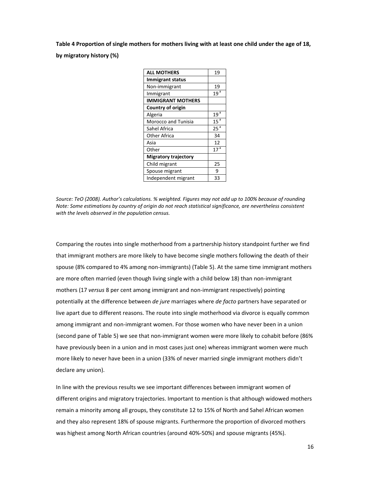Table 4 Proportion of single mothers for mothers living with at least one child under the age of 18, **by migratory history (%)**

| <b>ALL MOTHERS</b>          | 19              |
|-----------------------------|-----------------|
| <b>Immigrant status</b>     |                 |
| Non-immigrant               | 19              |
| Immigrant                   | 19 <sup>3</sup> |
| <b>IMMIGRANT MOTHERS</b>    |                 |
| Country of origin           |                 |
| Algeria                     | 19 <sup>3</sup> |
| <b>Morocco and Tunisia</b>  | 15 <sup>a</sup> |
| Sahel Africa                | 25 <sup>3</sup> |
| <b>Other Africa</b>         | 34              |
| Asia                        | 12              |
| Other                       | 17 <sup>5</sup> |
| <b>Migratory trajectory</b> |                 |
| Child migrant               | 25              |
| Spouse migrant              | 9               |
| Independent migrant         | 33              |

*Source: TeO (2008). Author's calculations. % weighted. Figures may not add up to 100% because of rounding Note: Some estimations by country of origin do not reach statistical significance, are nevertheless consistent with the levels observed in the population census.*

Comparing the routes into single motherhood from a partnership history standpoint further we find that immigrant mothers are more likely to have become single mothers following the death of their spouse (8% compared to 4% among non‐immigrants) (Table 5). At the same time immigrant mothers are more often married (even though living single with a child below 18) than non-immigrant mothers (17 *versus* 8 per cent among immigrant and non-immigrant respectively) pointing potentially at the difference between *de jure* marriages where *de facto* partners have separated or live apart due to different reasons. The route into single motherhood via divorce is equally common among immigrant and non-immigrant women. For those women who have never been in a union (second pane of Table 5) we see that non‐immigrant women were more likely to cohabit before (86% have previously been in a union and in most cases just one) whereas immigrant women were much more likely to never have been in a union (33% of never married single immigrant mothers didn't declare any union).

In line with the previous results we see important differences between immigrant women of different origins and migratory trajectories. Important to mention is that although widowed mothers remain a minority among all groups, they constitute 12 to 15% of North and Sahel African women and they also represent 18% of spouse migrants. Furthermore the proportion of divorced mothers was highest among North African countries (around 40%‐50%) and spouse migrants (45%).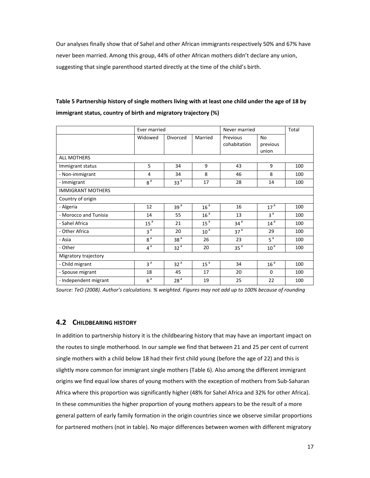Our analyses finally show that of Sahel and other African immigrants respectively 50% and 67% have never been married. Among this group, 44% of other African mothers didn't declare any union, suggesting that single parenthood started directly at the time of the child's birth.

|                          | Ever married    |                 |                 | Never married            |                         | Total |
|--------------------------|-----------------|-----------------|-----------------|--------------------------|-------------------------|-------|
|                          | Widowed         | Divorced        | Married         | Previous<br>cohabitation | No<br>previous<br>union |       |
| <b>ALL MOTHERS</b>       |                 |                 |                 |                          |                         |       |
| Immigrant status         | 5               | 34              | 9               | 43                       | 9                       | 100   |
| - Non-immigrant          | 4               | 34              | 8               | 46                       | 8                       | 100   |
| - Immigrant              | 8 <sup>a</sup>  | 33 <sup>a</sup> | 17              | 28                       | 14                      | 100   |
| <b>IMMIGRANT MOTHERS</b> |                 |                 |                 |                          |                         |       |
| Country of origin        |                 |                 |                 |                          |                         |       |
| - Algeria                | 12              | 39 <sup>a</sup> | 16 <sup>a</sup> | 16                       | 17 <sup>a</sup>         | 100   |
| - Morocco and Tunisia    | 14              | 55              | 16 <sup>a</sup> | 13                       | 3 <sup>a</sup>          | 100   |
| - Sahel Africa           | 15 <sup>a</sup> | 21              | 15 <sup>a</sup> | 34 <sup>a</sup>          | 14 <sup>a</sup>         | 100   |
| - Other Africa           | 3 <sup>a</sup>  | 20              | 10 <sup>a</sup> | 37 <sup>a</sup>          | 29                      | 100   |
| - Asia                   | 8 <sup>a</sup>  | 38 <sup>a</sup> | 26              | 23                       | 5 <sup>a</sup>          | 100   |
| - Other                  | $4^a$           | 32 <sup>a</sup> | 20              | 35 <sup>a</sup>          | 10 <sup>a</sup>         | 100   |
| Migratory trajectory     |                 |                 |                 |                          |                         |       |
| - Child migrant          | 3 <sup>a</sup>  | 32 <sup>a</sup> | 15 <sup>a</sup> | 34                       | 16 <sup>a</sup>         | 100   |
| - Spouse migrant         | 18              | 45              | 17              | 20                       | $\Omega$                | 100   |
| - Independent migrant    | 6 <sup>a</sup>  | 28 <sup>a</sup> | 19              | 25                       | 22                      | 100   |

### Table 5 Partnership history of single mothers living with at least one child under the age of 18 by **immigrant status, country of birth and migratory trajectory (%)**

*Source: TeO (2008). Author's calculations. % weighted. Figures may not add up to 100% because of rounding*

### **4.2 CHILDBEARING HISTORY**

In addition to partnership history it is the childbearing history that may have an important impact on the routes to single motherhood. In our sample we find that between 21 and 25 per cent of current single mothers with a child below 18 had their first child young (before the age of 22) and this is slightly more common for immigrant single mothers (Table 6). Also among the different immigrant origins we find equal low shares of young mothers with the exception of mothers from Sub‐Saharan Africa where this proportion was significantly higher (48% for Sahel Africa and 32% for other Africa). In these communities the higher proportion of young mothers appears to be the result of a more general pattern of early family formation in the origin countries since we observe similar proportions for partnered mothers (not in table). No major differences between women with different migratory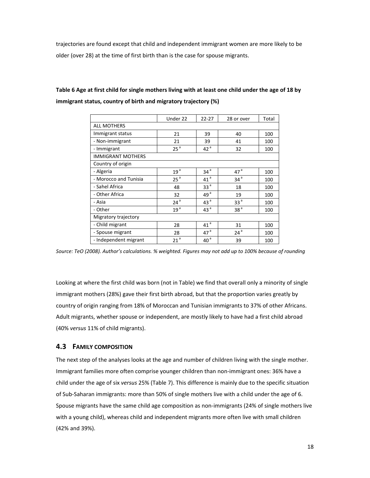trajectories are found except that child and independent immigrant women are more likely to be older (over 28) at the time of first birth than is the case for spouse migrants.

### Table 6 Age at first child for single mothers living with at least one child under the age of 18 by **immigrant status, country of birth and migratory trajectory (%)**

|                          | Under 22        | $22 - 27$       | 28 or over      | Total |  |  |
|--------------------------|-----------------|-----------------|-----------------|-------|--|--|
| ALL MOTHERS              |                 |                 |                 |       |  |  |
| Immigrant status         | 21              | 39              | 40              | 100   |  |  |
| - Non-immigrant          | 21              | 39              | 41              | 100   |  |  |
| - Immigrant              | 25 <sup>a</sup> | 42 <sup>a</sup> | 32              | 100   |  |  |
| <b>IMMIGRANT MOTHERS</b> |                 |                 |                 |       |  |  |
| Country of origin        |                 |                 |                 |       |  |  |
| - Algeria                | 19 <sup>a</sup> | 34 <sup>a</sup> | 47 <sup>a</sup> | 100   |  |  |
| - Morocco and Tunisia    | 25 <sup>a</sup> | 41 <sup>a</sup> | 34 <sup>a</sup> | 100   |  |  |
| - Sahel Africa           | 48              | 33 <sup>a</sup> | 18              | 100   |  |  |
| - Other Africa           | 32              | 49 <sup>a</sup> | 19              | 100   |  |  |
| - Asia                   | $24^a$          | 43 <sup>a</sup> | 33 <sup>a</sup> | 100   |  |  |
| - Other                  | 19 <sup>a</sup> | 43 <sup>a</sup> | 38 <sup>a</sup> | 100   |  |  |
| Migratory trajectory     |                 |                 |                 |       |  |  |
| - Child migrant          | 28              | 41 <sup>a</sup> | 31              | 100   |  |  |
| - Spouse migrant         | 28              | 47 <sup>a</sup> | $24^{\text{a}}$ | 100   |  |  |
| - Independent migrant    | 21 <sup>a</sup> | 40 <sup>a</sup> | 39              | 100   |  |  |

*Source: TeO (2008). Author's calculations. % weighted. Figures may not add up to 100% because of rounding*

Looking at where the first child was born (not in Table) we find that overall only a minority of single immigrant mothers (28%) gave their first birth abroad, but that the proportion varies greatly by country of origin ranging from 18% of Moroccan and Tunisian immigrants to 37% of other Africans. Adult migrants, whether spouse or independent, are mostly likely to have had a first child abroad (40% *versus* 11% of child migrants).

### **4.3 FAMILY COMPOSITION**

The next step of the analyses looks at the age and number of children living with the single mother. Immigrant families more often comprise younger children than non-immigrant ones: 36% have a child under the age of six *versus* 25% (Table 7). This difference is mainly due to the specific situation of Sub‐Saharan immigrants: more than 50% of single mothers live with a child under the age of 6. Spouse migrants have the same child age composition as non‐immigrants (24% of single mothers live with a young child), whereas child and independent migrants more often live with small children (42% and 39%).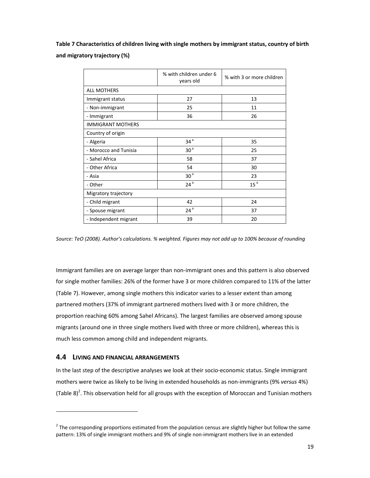**Table 7 Characteristics of children living with single mothers by immigrant status, country of birth and migratory trajectory (%)**

|                          | % with children under 6<br>years old | % with 3 or more children |
|--------------------------|--------------------------------------|---------------------------|
| <b>ALL MOTHERS</b>       |                                      |                           |
| Immigrant status         | 27                                   | 13                        |
| - Non-immigrant          | 25                                   | 11                        |
| - Immigrant              | 36                                   | 26                        |
| <b>IMMIGRANT MOTHERS</b> |                                      |                           |
| Country of origin        |                                      |                           |
| - Algeria                | 34 <sup>a</sup>                      | 35                        |
| - Morocco and Tunisia    | 30 <sup>a</sup>                      | 25                        |
| - Sahel Africa           | 58                                   | 37                        |
| - Other Africa           | 54                                   | 30                        |
| - Asia                   | 30 <sup>a</sup>                      | 23                        |
| - Other                  | 24 <sup>a</sup>                      | 15 <sup>a</sup>           |
| Migratory trajectory     |                                      |                           |
| - Child migrant          | 42                                   | 24                        |
| - Spouse migrant         | 24 <sup>a</sup>                      | 37                        |
| - Independent migrant    | 39                                   | 20                        |

*Source: TeO (2008). Author's calculations. % weighted. Figures may not add up to 100% because of rounding*

Immigrant families are on average larger than non‐immigrant ones and this pattern is also observed for single mother families: 26% of the former have 3 or more children compared to 11% of the latter (Table 7). However, among single mothers this indicator varies to a lesser extent than among partnered mothers (37% of immigrant partnered mothers lived with 3 or more children, the proportion reaching 60% among Sahel Africans). The largest families are observed among spouse migrants (around one in three single mothers lived with three or more children), whereas this is much less common among child and independent migrants.

#### **4.4 LIVING AND FINANCIAL ARRANGEMENTS**

In the last step of the descriptive analyses we look at their socio‐economic status. Single immigrant mothers were twice as likely to be living in extended households as non‐immigrants (9% *versus* 4%) (Table 8)<sup>2</sup>. This observation held for all groups with the exception of Moroccan and Tunisian mothers

<sup>&</sup>lt;sup>2</sup> The corresponding proportions estimated from the population census are slightly higher but follow the same pattern: 13% of single immigrant mothers and 9% of single non-immigrant mothers live in an extended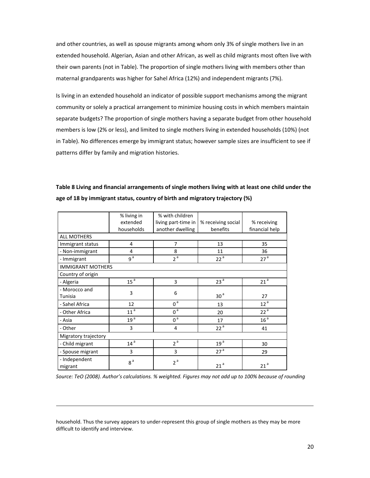and other countries, as well as spouse migrants among whom only 3% of single mothers live in an extended household. Algerian, Asian and other African, as well as child migrants most often live with their own parents (not in Table). The proportion of single mothers living with members other than maternal grandparents was higher for Sahel Africa (12%) and independent migrants (7%).

Is living in an extended household an indicator of possible support mechanisms among the migrant community or solely a practical arrangement to minimize housing costs in which members maintain separate budgets? The proportion of single mothers having a separate budget from other household members is low (2% or less), and limited to single mothers living in extended households (10%) (not in Table). No differences emerge by immigrant status; however sample sizes are insufficient to see if patterns differ by family and migration histories.

|                          | % living in     | % with children     |                    |                 |
|--------------------------|-----------------|---------------------|--------------------|-----------------|
|                          | extended        | living part-time in | % receiving social | % receiving     |
|                          | households      | another dwelling    | benefits           | financial help  |
| <b>ALL MOTHERS</b>       |                 |                     |                    |                 |
| Immigrant status         | 4               | $\overline{7}$      | 13                 | 35              |
| - Non-immigrant          | 4               | 8                   | 11                 | 36              |
| - Immigrant              | 9 <sup>a</sup>  | 2 <sup>a</sup>      | 22 <sup>a</sup>    | 27 <sup>a</sup> |
| <b>IMMIGRANT MOTHERS</b> |                 |                     |                    |                 |
| Country of origin        |                 |                     |                    |                 |
| - Algeria                | 15 <sup>a</sup> | 3                   | 23 <sup>a</sup>    | 21 <sup>a</sup> |
| - Morocco and            | 3               | 6                   |                    |                 |
| Tunisia                  |                 |                     | 30 <sup>a</sup>    | 27              |
| - Sahel Africa           | 12              | $0^{\mathsf{a}}$    | 13                 | 12 <sup>a</sup> |
| - Other Africa           | 11 <sup>a</sup> | 0 <sup>a</sup>      | 20                 | 22 <sup>a</sup> |
| - Asia                   | 19 <sup>a</sup> | $0^{\mathsf{a}}$    | 17                 | 16 <sup>a</sup> |
| - Other                  | 3               | 4                   | 22 <sup>a</sup>    | 41              |
| Migratory trajectory     |                 |                     |                    |                 |
| - Child migrant          | 14 <sup>a</sup> | 2 <sup>a</sup>      | 19 <sup>a</sup>    | 30              |
| - Spouse migrant         | 3               | 3                   | 27 <sup>a</sup>    | 29              |
| - Independent<br>migrant | 8 <sup>a</sup>  | 2 <sup>a</sup>      | 21 <sup>a</sup>    | 21 <sup>a</sup> |

**Table 8 Living and financial arrangements of single mothers living with at least one child under the age of 18 by immigrant status, country of birth and migratory trajectory (%)**

*Source: TeO (2008). Author's calculations. % weighted. Figures may not add up to 100% because of rounding*

household. Thus the survey appears to under-represent this group of single mothers as they may be more difficult to identify and interview.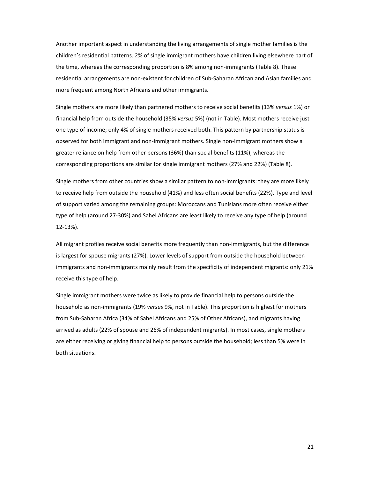Another important aspect in understanding the living arrangements of single mother families is the children's residential patterns. 2% of single immigrant mothers have children living elsewhere part of the time, whereas the corresponding proportion is 8% among non-immigrants (Table 8). These residential arrangements are non‐existent for children of Sub‐Saharan African and Asian families and more frequent among North Africans and other immigrants.

Single mothers are more likely than partnered mothers to receive social benefits (13% *versus* 1%) or financial help from outside the household (35% *versus* 5%) (not in Table). Most mothers receive just one type of income; only 4% of single mothers received both. This pattern by partnership status is observed for both immigrant and non‐immigrant mothers. Single non‐immigrant mothers show a greater reliance on help from other persons (36%) than social benefits (11%), whereas the corresponding proportions are similar for single immigrant mothers (27% and 22%) (Table 8).

Single mothers from other countries show a similar pattern to non‐immigrants: they are more likely to receive help from outside the household (41%) and less often social benefits (22%). Type and level of support varied among the remaining groups: Moroccans and Tunisians more often receive either type of help (around 27‐30%) and Sahel Africans are least likely to receive any type of help (around 12‐13%).

All migrant profiles receive social benefits more frequently than non-immigrants, but the difference is largest for spouse migrants (27%). Lower levels of support from outside the household between immigrants and non-immigrants mainly result from the specificity of independent migrants: only 21% receive this type of help.

Single immigrant mothers were twice as likely to provide financial help to persons outside the household as non‐immigrants (19% *versus* 9%, not in Table). This proportion is highest for mothers from Sub‐Saharan Africa (34% of Sahel Africans and 25% of Other Africans), and migrants having arrived as adults (22% of spouse and 26% of independent migrants). In most cases, single mothers are either receiving or giving financial help to persons outside the household; less than 5% were in both situations.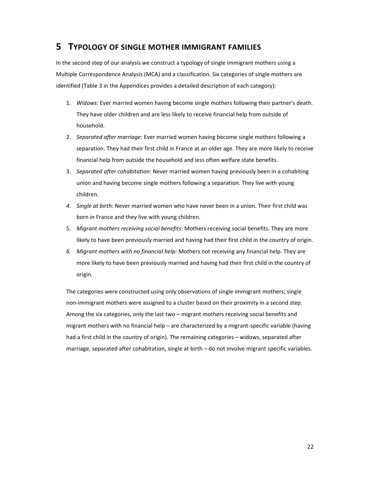### **5 TYPOLOGY OF SINGLE MOTHER IMMIGRANT FAMILIES**

In the second step of our analysis we construct a typology of single immigrant mothers using a Multiple Correspondence Analysis (MCA) and a classification. Six categories of single mothers are identified (Table 3 in the Appendices provides a detailed description of each category):

- 1. *Widows:* Ever married women having become single mothers following their partner's death. They have older children and are less likely to receive financial help from outside of household.
- 2. *Separated after marriage:* Ever married women having become single mothers following a separation. They had their first child in France at an older age. They are more likely to receive financial help from outside the household and less often welfare state benefits.
- 3. *Separated after cohabitation:* Never married women having previously been in a cohabiting union and having become single mothers following a separation. They live with young children.
- *4. Single at birth:* Never married women who have never been in a union. Their first child was born in France and they live with young children.
- 5. *Migrant mothers receiving social benefits:* Mothers receiving social benefits. They are more likely to have been previously married and having had their first child in the country of origin.
- *6. Migrant mothers with no financial help:* Mothers not receiving any financial help. They are more likely to have been previously married and having had their first child in the country of origin.

The categories were constructed using only observations of single immigrant mothers; single non‐immigrant mothers were assigned to a cluster based on their proximity in a second step. Among the six categories, only the last two – migrant mothers receiving social benefits and migrant mothers with no financial help – are characterized by a migrant‐specific variable (having had a first child in the country of origin). The remaining categories – widows, separated after marriage, separated after cohabitation, single at birth – do not involve migrant specific variables.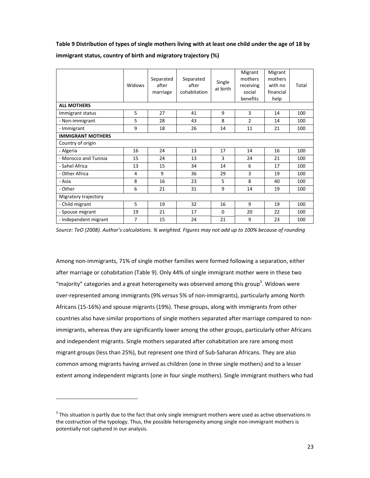#### Table 9 Distribution of types of single mothers living with at least one child under the age of 18 by

|                          | Widows         | Separated<br>after<br>marriage | Separated<br>after<br>cohabitation | Single<br>at birth | Migrant<br>mothers<br>receiving<br>social<br>benefits | Migrant<br>mothers<br>with no<br>financial<br>help | Total |
|--------------------------|----------------|--------------------------------|------------------------------------|--------------------|-------------------------------------------------------|----------------------------------------------------|-------|
| <b>ALL MOTHERS</b>       |                |                                |                                    |                    |                                                       |                                                    |       |
| Immigrant status         | 5              | 27                             | 41                                 | 9                  | 3                                                     | 14                                                 | 100   |
| - Non-immigrant          | 5              | 28                             | 43                                 | 8                  | $\overline{2}$                                        | 14                                                 | 100   |
| - Immigrant              | 9              | 18                             | 26                                 | 14                 | 11                                                    | 21                                                 | 100   |
| <b>IMMIGRANT MOTHERS</b> |                |                                |                                    |                    |                                                       |                                                    |       |
| Country of origin        |                |                                |                                    |                    |                                                       |                                                    |       |
| - Algeria                | 16             | 24                             | 13                                 | 17                 | 14                                                    | 16                                                 | 100   |
| - Morocco and Tunisia    | 15             | 24                             | 13                                 | 3                  | 24                                                    | 21                                                 | 100   |
| - Sahel Africa           | 13             | 15                             | 34                                 | 14                 | 6                                                     | 17                                                 | 100   |
| - Other Africa           | 4              | 9                              | 36                                 | 29                 | 3                                                     | 19                                                 | 100   |
| - Asia                   | 8              | 16                             | 23                                 | 5                  | 8                                                     | 40                                                 | 100   |
| - Other                  | 6              | 21                             | 31                                 | 9                  | 14                                                    | 19                                                 | 100   |
| Migratory trajectory     |                |                                |                                    |                    |                                                       |                                                    |       |
| - Child migrant          | 5              | 19                             | 32                                 | 16                 | 9                                                     | 19                                                 | 100   |
| - Spouse migrant         | 19             | 21                             | 17                                 | $\Omega$           | 20                                                    | 22                                                 | 100   |
| - Independent migrant    | $\overline{7}$ | 15                             | 24                                 | 21                 | 9                                                     | 23                                                 | 100   |

#### **immigrant status, country of birth and migratory trajectory (%)**

Source: TeO (2008). Author's calculations. % weighted. Figures may not add up to 100% because of rounding

Among non‐immigrants, 71% of single mother families were formed following a separation, either after marriage or cohabitation (Table 9). Only 44% of single immigrant mother were in these two "majority" categories and a great heterogeneity was observed among this group<sup>3</sup>. Widows were over‐represented among immigrants (9% *versus* 5% of non‐immigrants), particularly among North Africans (15‐16%) and spouse migrants (19%). These groups, along with immigrants from other countries also have similar proportions of single mothers separated after marriage compared to non‐ immigrants, whereas they are significantly lower among the other groups, particularly other Africans and independent migrants. Single mothers separated after cohabitation are rare among most migrant groups (less than 25%), but represent one third of Sub‐Saharan Africans. They are also common among migrants having arrived as children (one in three single mothers) and to a lesser extent among independent migrants (one in four single mothers). Single immigrant mothers who had

 $3$  This situation is partly due to the fact that only single immigrant mothers were used as active observations in the costruction of the typology. Thus, the possible heterogeneity among single non-immigrant mothers is potentially not captured in our analysis.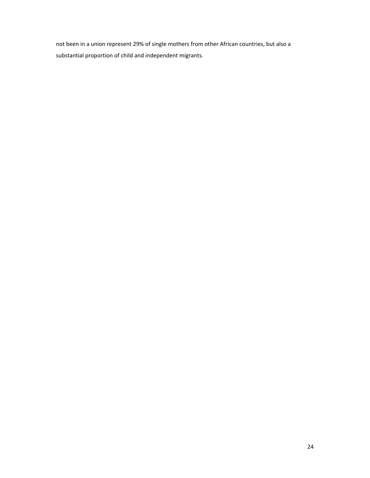not been in a union represent 29% of single mothers from other African countries, but also a substantial proportion of child and independent migrants.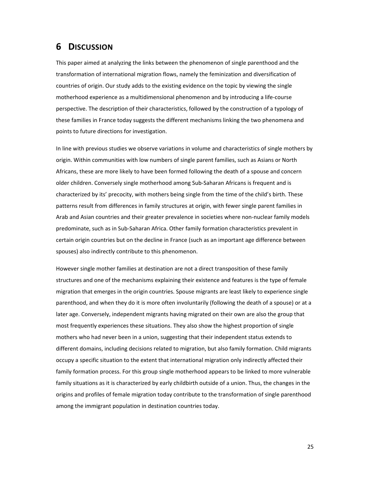### **6 DISCUSSION**

This paper aimed at analyzing the links between the phenomenon of single parenthood and the transformation of international migration flows, namely the feminization and diversification of countries of origin. Our study adds to the existing evidence on the topic by viewing the single motherhood experience as a multidimensional phenomenon and by introducing a life‐course perspective. The description of their characteristics, followed by the construction of a typology of these families in France today suggests the different mechanisms linking the two phenomena and points to future directions for investigation.

In line with previous studies we observe variations in volume and characteristics of single mothers by origin. Within communities with low numbers of single parent families, such as Asians or North Africans, these are more likely to have been formed following the death of a spouse and concern older children. Conversely single motherhood among Sub‐Saharan Africans is frequent and is characterized by its' precocity, with mothers being single from the time of the child's birth. These patterns result from differences in family structures at origin, with fewer single parent families in Arab and Asian countries and their greater prevalence in societies where non‐nuclear family models predominate, such as in Sub‐Saharan Africa. Other family formation characteristics prevalent in certain origin countries but on the decline in France (such as an important age difference between spouses) also indirectly contribute to this phenomenon.

However single mother families at destination are not a direct transposition of these family structures and one of the mechanisms explaining their existence and features is the type of female migration that emerges in the origin countries. Spouse migrants are least likely to experience single parenthood, and when they do it is more often involuntarily (following the death of a spouse) or at a later age. Conversely, independent migrants having migrated on their own are also the group that most frequently experiences these situations. They also show the highest proportion of single mothers who had never been in a union, suggesting that their independent status extends to different domains, including decisions related to migration, but also family formation. Child migrants occupy a specific situation to the extent that international migration only indirectly affected their family formation process. For this group single motherhood appears to be linked to more vulnerable family situations as it is characterized by early childbirth outside of a union. Thus, the changes in the origins and profiles of female migration today contribute to the transformation of single parenthood among the immigrant population in destination countries today.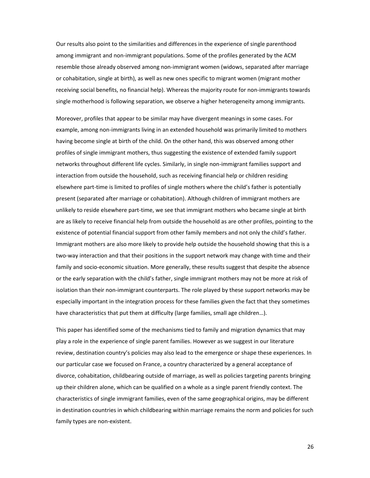Our results also point to the similarities and differences in the experience of single parenthood among immigrant and non‐immigrant populations. Some of the profiles generated by the ACM resemble those already observed among non‐immigrant women (widows, separated after marriage or cohabitation, single at birth), as well as new ones specific to migrant women (migrant mother receiving social benefits, no financial help). Whereas the majority route for non-immigrants towards single motherhood is following separation, we observe a higher heterogeneity among immigrants.

Moreover, profiles that appear to be similar may have divergent meanings in some cases. For example, among non-immigrants living in an extended household was primarily limited to mothers having become single at birth of the child. On the other hand, this was observed among other profiles of single immigrant mothers, thus suggesting the existence of extended family support networks throughout different life cycles. Similarly, in single non-immigrant families support and interaction from outside the household, such as receiving financial help or children residing elsewhere part‐time is limited to profiles of single mothers where the child's father is potentially present (separated after marriage or cohabitation). Although children of immigrant mothers are unlikely to reside elsewhere part‐time, we see that immigrant mothers who became single at birth are as likely to receive financial help from outside the household as are other profiles, pointing to the existence of potential financial support from other family members and not only the child's father. Immigrant mothers are also more likely to provide help outside the household showing that this is a two‐way interaction and that their positions in the support network may change with time and their family and socio-economic situation. More generally, these results suggest that despite the absence or the early separation with the child's father, single immigrant mothers may not be more at risk of isolation than their non‐immigrant counterparts. The role played by these support networks may be especially important in the integration process for these families given the fact that they sometimes have characteristics that put them at difficulty (large families, small age children...).

This paper has identified some of the mechanisms tied to family and migration dynamics that may play a role in the experience of single parent families. However as we suggest in our literature review, destination country's policies may also lead to the emergence or shape these experiences. In our particular case we focused on France, a country characterized by a general acceptance of divorce, cohabitation, childbearing outside of marriage, as well as policies targeting parents bringing up their children alone, which can be qualified on a whole as a single parent friendly context. The characteristics of single immigrant families, even of the same geographical origins, may be different in destination countries in which childbearing within marriage remains the norm and policies for such family types are non‐existent.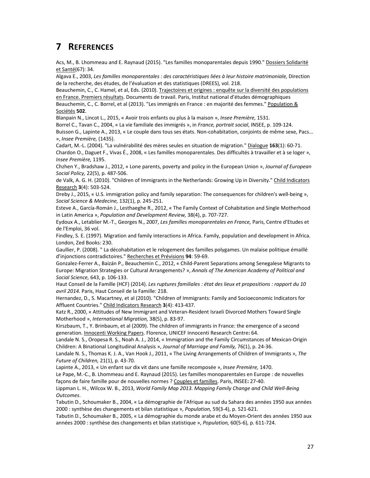## **7 REFERENCES**

Acs, M., B. Lhommeau and E. Raynaud (2015). "Les familles monoparentales depuis 1990." Dossiers Solidarité et Santé(67): 34.

Algava E., 2003, *Les familles monoparentales : des caractéristiques liées à leur histoire matrimoniale,* Direction de la recherche, des études, de l'évaluation et des statistiques (DREES), vol. 218.

Beauchemin, C., C. Hamel, et al, Eds. (2010). Trajectoires et origines : enquête sur la diversité des populations en France. Premiers résultats. Documents de travail. Paris, Institut national d'études démographiques

Beauchemin, C., C. Borrel, et al (2013). "Les immigrés en France : en majorité des femmes." Population & Sociétés **502**.

Blanpain N., Lincot L., 2015, « Avoir trois enfants ou plus à la maison », *Insee Première,* 1531.

Borrel C., Tavan C., 2004, « La vie familiale des immigrés », in *France, portrait social*, INSEE, p. 109‐124. Buisson G., Lapinte A., 2013, « Le couple dans tous ses états. Non‐cohabitation, conjoints de même sexe, Pacs... », *Insee Première,* (1435).

Cadart, M.‐L. (2004). "La vulnérabilité des mères seules en situation de migration." Dialogue **163**(1): 60‐71. Chardon O., Daguet F., Vivas É., 2008, « Les familles monoparentales. Des difficultés à travailler et à se loger », *Insee Première,* 1195.

Chzhen Y., Bradshaw J., 2012, « Lone parents, poverty and policy in the European Union », *Journal of European Social Policy,* 22(5), p. 487‐506.

de Valk, A. G. H. (2010). "Children of Immigrants in the Netherlands: Growing Up in Diversity." Child Indicators Research **3**(4): 503‐524.

Dreby J., 2015, « U.S. immigration policy and family separation: The consequences for children's well‐being », *Social Science & Medecine,* 132(1), p. 245‐251.

Esteve A., García‐Román J., Lesthaeghe R., 2012, « The Family Context of Cohabitation and Single Motherhood in Latin America », *Population and Development Review,* 38(4), p. 707‐727.

Eydoux A., Letablier M.‐T., Georges N., 2007, *Les familles monoparentales en France,* Paris, Centre d'Etudes et de l'Emploi, 36 vol.

Findley, S. E. (1997). Migration and family interactions in Africa. Family, population and development in Africa. London, Zed Books: 230.

Gaullier, P. (2008). " La décohabitation et le relogement des familles polygames. Un malaise politique émaillé d'injonctions contradictoires." Recherches et Prévisions **94**: 59‐69.

Gonzalez‐Ferrer A., Baizán P., Beauchemin C., 2012, « Child‐Parent Separations among Senegalese Migrants to Europe: Migration Strategies or Cultural Arrangements? », *Annals of The American Academy of Political and Social Science,* 643, p. 106‐133.

Haut Conseil de la Famille (HCF) (2014). *Les ruptures familiales : état des lieux et propositions : rapport du 10 avril 2014.* Paris, Haut Conseil de la Famille: 218.

Hernandez, D., S. Macartney, et al (2010). "Children of Immigrants: Family and Socioeconomic Indicators for Affluent Countries." Child Indicators Research **3**(4): 413‐437.

Katz R., 2000, « Attitudes of New Immigrant and Veteran‐Resident Israeli Divorced Mothers Toward Single Motherhood », *International Migration,* 38(5), p. 83‐97.

Kirszbaum, T., Y. Brinbaum, et al (2009). The children of immigrants in France: the emergence of a second generation. Innocenti Working Papers. Florence, UNICEF Innocenti Research Centre**:** 64.

Landale N. S., Oropesa R. S., Noah A. J., 2014, « Immigration and the Family Circumstances of Mexican‐Origin Children: A Binational Longitudinal Analysis », *Journal of Marriage and Family,* 76(1), p. 24‐36.

Landale N. S., Thomas K. J. A., Van Hook J., 2011, « The Living Arrangements of Children of Immigrants », *The Future of Children,* 21(1), p. 43‐70.

Lapinte A., 2013, « Un enfant sur dix vit dans une famille recomposée », *Insee Première,* 1470.

Le Pape, M.‐C., B. Lhommeau and E. Raynaud (2015). Les familles monoparentales en Europe : de nouvelles façons de faire famille pour de nouvelles normes ? Couples et familles. Paris, INSEE**:** 27‐40.

Lippman L. H., Wilcox W. B., 2013, *World Family Map 2013. Mapping Family Change and Child Well‐Being Outcomes*.

Tabutin D., Schoumaker B., 2004, « La démographie de l'Afrique au sud du Sahara des années 1950 aux années 2000 : synthèse des changements et bilan statistique », *Population,* 59(3‐4), p. 521‐621.

Tabutin D., Schoumaker B., 2005, « La démographie du monde arabe et du Moyen‐Orient des années 1950 aux années 2000 : synthèse des changements et bilan statistique », *Population,* 60(5‐6), p. 611‐724.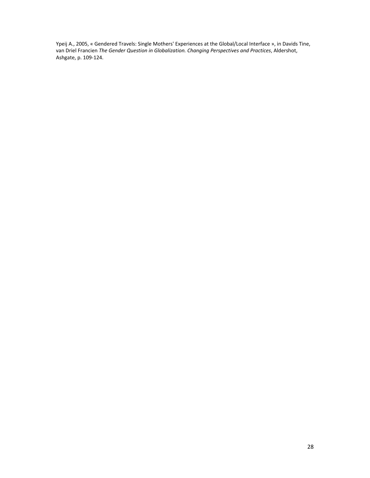Ypeij A., 2005, « Gendered Travels: Single Mothers' Experiences at the Global/Local Interface », in Davids Tine, van Driel Francien *The Gender Question in Globalization. Changing Perspectives and Practices*, Aldershot, Ashgate, p. 109‐124.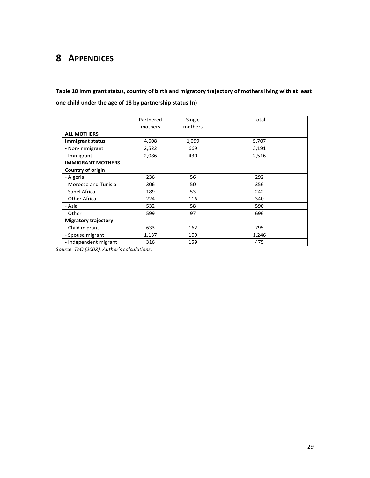# **8 APPENDICES**

**Table 10 Immigrant status, country of birth and migratory trajectory of mothers living with at least one child under the age of 18 by partnership status (n)**

|                             | Partnered | Single  | Total |  |  |
|-----------------------------|-----------|---------|-------|--|--|
|                             | mothers   | mothers |       |  |  |
| <b>ALL MOTHERS</b>          |           |         |       |  |  |
| <b>Immigrant status</b>     | 4,608     | 1,099   | 5,707 |  |  |
| - Non-immigrant             | 2,522     | 669     | 3,191 |  |  |
| - Immigrant                 | 2,086     | 430     | 2,516 |  |  |
| <b>IMMIGRANT MOTHERS</b>    |           |         |       |  |  |
| Country of origin           |           |         |       |  |  |
| - Algeria                   | 236       | 56      | 292   |  |  |
| - Morocco and Tunisia       | 306       | 50      | 356   |  |  |
| - Sahel Africa              | 189       | 53      | 242   |  |  |
| - Other Africa              | 224       | 116     | 340   |  |  |
| - Asia                      | 532       | 58      | 590   |  |  |
| - Other                     | 599       | 97      | 696   |  |  |
| <b>Migratory trajectory</b> |           |         |       |  |  |
| - Child migrant             | 633       | 162     | 795   |  |  |
| - Spouse migrant            | 1,137     | 109     | 1,246 |  |  |
| - Independent migrant       | 316       | 159     | 475   |  |  |

*Source: TeO (2008). Author's calculations.*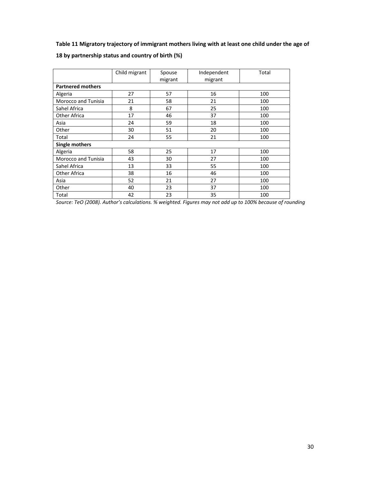### **Table 11 Migratory trajectory of immigrant mothers living with at least one child under the age of**

|                            | Child migrant | Spouse  | Independent | Total |  |  |  |  |  |
|----------------------------|---------------|---------|-------------|-------|--|--|--|--|--|
|                            |               | migrant | migrant     |       |  |  |  |  |  |
| <b>Partnered mothers</b>   |               |         |             |       |  |  |  |  |  |
| Algeria                    | 27            | 57      | 16          | 100   |  |  |  |  |  |
| Morocco and Tunisia        | 21            | 58      | 21          | 100   |  |  |  |  |  |
| Sahel Africa               | 8             | 67      | 25          | 100   |  |  |  |  |  |
| Other Africa               | 17            | 46      | 37          | 100   |  |  |  |  |  |
| Asia                       | 24            | 59      | 18          | 100   |  |  |  |  |  |
| Other                      | 30            | 51      | 20          | 100   |  |  |  |  |  |
| Total                      | 24            | 55      | 21          | 100   |  |  |  |  |  |
| <b>Single mothers</b>      |               |         |             |       |  |  |  |  |  |
| Algeria                    | 58            | 25      | 17          | 100   |  |  |  |  |  |
| <b>Morocco and Tunisia</b> | 43            | 30      | 27          | 100   |  |  |  |  |  |
| Sahel Africa               | 13            | 33      | 55          | 100   |  |  |  |  |  |
| <b>Other Africa</b>        | 38            | 16      | 46          | 100   |  |  |  |  |  |
| Asia                       | 52            | 21      | 27          | 100   |  |  |  |  |  |
| Other                      | 40            | 23      | 37          | 100   |  |  |  |  |  |
| Total                      | 42            | 23      | 35          | 100   |  |  |  |  |  |

### **18 by partnership status and country of birth (%)**

*Source: TeO (2008). Author's calculations. % weighted. Figures may not add up to 100% because of rounding*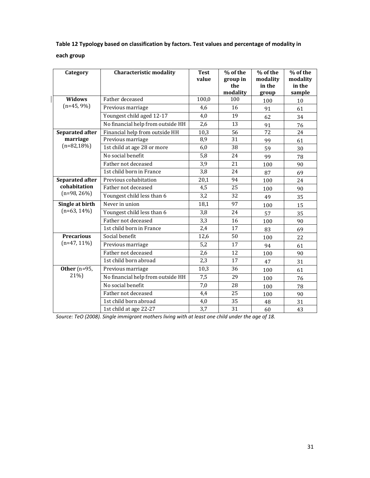### **Table 12 Typology based on classification by factors. Test values and percentage of modality in each group**

| Category                                     | <b>Characteristic modality</b>    | <b>Test</b><br>value | % of the        | % of the<br>modality | % of the<br>modality |
|----------------------------------------------|-----------------------------------|----------------------|-----------------|----------------------|----------------------|
|                                              |                                   |                      | group in<br>the | in the               | in the               |
|                                              |                                   |                      | modality        | group                | sample               |
| Widows<br>$(n=45, 9\%)$                      | Father deceased                   | 100,0                | 100             | 100                  | 10                   |
|                                              | Previous marriage                 | 4,6                  | 16              | 91                   | 61                   |
|                                              | Youngest child aged 12-17         | 4,0                  | 19              | 62                   | 34                   |
|                                              | No financial help from outside HH | 2,6                  | 13              | 91                   | 76                   |
| Separated after<br>marriage<br>$(n=82,18\%)$ | Financial help from outside HH    | 10,3                 | 56              | 72                   | 24                   |
|                                              | Previous marriage                 | 8,9                  | 31              | 99                   | 61                   |
|                                              | 1st child at age 28 or more       | 6,0                  | 38              | 59                   | 30                   |
|                                              | No social benefit                 | 5,8                  | 24              | 99                   | 78                   |
|                                              | Father not deceased               | 3,9                  | 21              | 100                  | 90                   |
|                                              | 1st child born in France          | 3,8                  | 24              | 87                   | 69                   |
| <b>Separated after</b>                       | Previous cohabitation             | 20,1                 | 94              | 100                  | 24                   |
| cohabitation<br>$(n=98, 26%)$                | Father not deceased               | 4,5                  | 25              | 100                  | 90                   |
|                                              | Youngest child less than 6        | 3,2                  | 32              | 49                   | 35                   |
| Single at birth<br>$(n=63, 14\%)$            | Never in union                    | 18,1                 | 97              | 100                  | 15                   |
|                                              | Youngest child less than 6        | 3,8                  | 24              | 57                   | 35                   |
|                                              | Father not deceased               | 3,3                  | 16              | 100                  | 90                   |
|                                              | 1st child born in France          | 2,4                  | 17              | 83                   | 69                   |
| <b>Precarious</b><br>$(n=47, 11\%)$          | Social benefit                    | 12,6                 | 50              | 100                  | 22                   |
|                                              | Previous marriage                 | 5,2                  | 17              | 94                   | 61                   |
|                                              | Father not deceased               | 2,6                  | 12              | 100                  | 90                   |
|                                              | 1st child born abroad             | 2,3                  | 17              | 47                   | 31                   |
| Other $(n=95,$<br>21%)                       | Previous marriage                 | 10,3                 | 36              | 100                  | 61                   |
|                                              | No financial help from outside HH | 7,5                  | 29              | 100                  | 76                   |
|                                              | No social benefit                 | 7,0                  | 28              | 100                  | 78                   |
|                                              | Father not deceased               | 4,4                  | 25              | 100                  | 90                   |
|                                              | 1st child born abroad             | 4,0                  | 35              | 48                   | 31                   |
|                                              | 1st child at age 22-27            | $\overline{3,7}$     | 31              | 60                   | 43                   |

*Source: TeO (2008). Single immigrant mothers living with at least one child under the age of 18.*